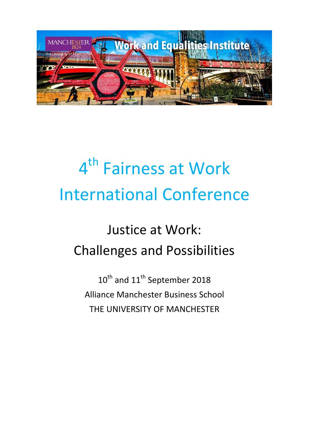

# 4<sup>th</sup> Fairness at Work International Conference

## Justice at Work: Challenges and Possibilities

10<sup>th</sup> and 11<sup>th</sup> September 2018 Alliance Manchester Business School THE UNIVERSITY OF MANCHESTER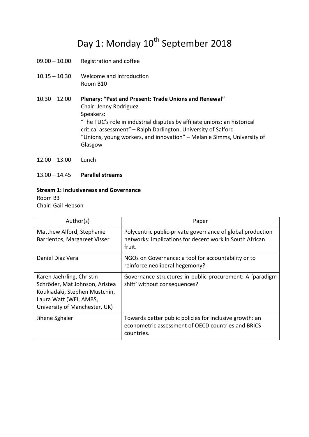### Day 1: Monday 10<sup>th</sup> September 2018

- 09.00 10.00 Registration and coffee
- 10.15 10.30 Welcome and introduction Room B10

10.30 – 12.00 **Plenary: "Past and Present: Trade Unions and Renewal"** Chair: Jenny Rodriguez Speakers: "The TUC's role in industrial disputes by affiliate unions: an historical critical assessment" – Ralph Darlington, University of Salford "Unions, young workers, and innovation" – Melanie Simms, University of Glasgow

- 12.00 13.00 Lunch
- 13.00 14.45 **Parallel streams**

#### **Stream 1: Inclusiveness and Governance**

Room B3 Chair: Gail Hebson

| Author(s)                                                                                                                                               | Paper                                                                                                                           |
|---------------------------------------------------------------------------------------------------------------------------------------------------------|---------------------------------------------------------------------------------------------------------------------------------|
| Matthew Alford, Stephanie<br>Barrientos, Margareet Visser                                                                                               | Polycentric public-private governance of global production<br>networks: implications for decent work in South African<br>fruit. |
| Daniel Diaz Vera                                                                                                                                        | NGOs on Governance: a tool for accountability or to<br>reinforce neoliberal hegemony?                                           |
| Karen Jaehrling, Christin<br>Schröder, Mat Johnson, Aristea<br>Koukiadaki, Stephen Mustchin,<br>Laura Watt (WEI, AMBS,<br>University of Manchester, UK) | Governance structures in public procurement: A 'paradigm<br>shift' without consequences?                                        |
| Jihene Sghaier                                                                                                                                          | Towards better public policies for inclusive growth: an<br>econometric assessment of OECD countries and BRICS<br>countries.     |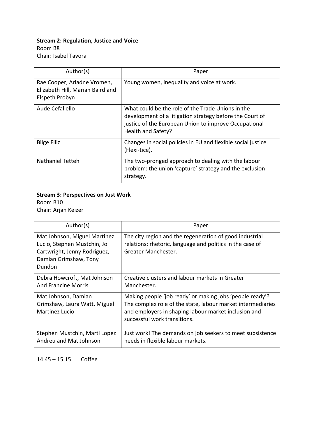### **Stream 2: Regulation, Justice and Voice**

Room B8 Chair: Isabel Tavora

| Author(s)                                                                         | Paper                                                                                                                                                                                        |
|-----------------------------------------------------------------------------------|----------------------------------------------------------------------------------------------------------------------------------------------------------------------------------------------|
| Rae Cooper, Ariadne Vromen,<br>Elizabeth Hill, Marian Baird and<br>Elspeth Probyn | Young women, inequality and voice at work.                                                                                                                                                   |
| Aude Cefaliello                                                                   | What could be the role of the Trade Unions in the<br>development of a litigation strategy before the Court of<br>justice of the European Union to improve Occupational<br>Health and Safety? |
| <b>Bilge Filiz</b>                                                                | Changes in social policies in EU and flexible social justice<br>(Flexi-tice).                                                                                                                |
| <b>Nathaniel Tetteh</b>                                                           | The two-pronged approach to dealing with the labour<br>problem: the union 'capture' strategy and the exclusion<br>strategy.                                                                  |

### **Stream 3: Perspectives on Just Work**

Room B10 Chair: Arjan Keizer

| Author(s)                                                                                                                      | Paper                                                                                                                                                                                                           |
|--------------------------------------------------------------------------------------------------------------------------------|-----------------------------------------------------------------------------------------------------------------------------------------------------------------------------------------------------------------|
| Mat Johnson, Miguel Martinez<br>Lucio, Stephen Mustchin, Jo<br>Cartwright, Jenny Rodriguez,<br>Damian Grimshaw, Tony<br>Dundon | The city region and the regeneration of good industrial<br>relations: rhetoric, language and politics in the case of<br>Greater Manchester.                                                                     |
| Debra Howcroft, Mat Johnson<br><b>And Francine Morris</b>                                                                      | Creative clusters and labour markets in Greater<br>Manchester.                                                                                                                                                  |
| Mat Johnson, Damian<br>Grimshaw, Laura Watt, Miguel<br>Martinez Lucio                                                          | Making people 'job ready' or making jobs 'people ready'?<br>The complex role of the state, labour market intermediaries<br>and employers in shaping labour market inclusion and<br>successful work transitions. |
| Stephen Mustchin, Marti Lopez<br>Andreu and Mat Johnson                                                                        | Just work! The demands on job seekers to meet subsistence<br>needs in flexible labour markets.                                                                                                                  |

### 14.45 – 15.15 Coffee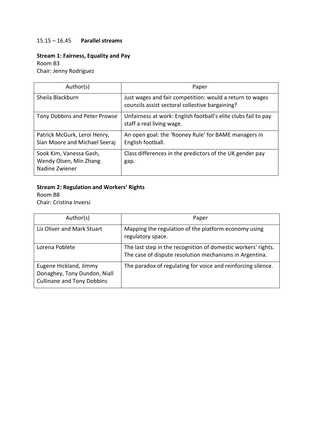### 15.15 – 16.45 **Parallel streams**

### **Stream 1: Fairness, Equality and Pay**

Room B3

Chair: Jenny Rodriguez

| Author(s)                                                           | Paper                                                                                                       |
|---------------------------------------------------------------------|-------------------------------------------------------------------------------------------------------------|
| Sheila Blackburn                                                    | Just wages and fair competition: would a return to wages<br>councils assist sectoral collective bargaining? |
| Tony Dobbins and Peter Prowse                                       | Unfairness at work: English football's elite clubs fail to pay<br>staff a real living wage.                 |
| Patrick McGurk, Leroi Henry,<br>Sian Moore and Michael Seeraj       | An open goal: the 'Rooney Rule' for BAME managers in<br>English football.                                   |
| Sook Kim, Vanessa Gash,<br>Wendy Olsen, Min Zhang<br>Nadine Zwiener | Class differences in the predictors of the UK gender pay<br>gap.                                            |

### **Stream 2: Regulation and Workers' Rights**

Room B8 Chair: Cristina Inversi

| Author(s)                                                                                   | Paper                                                                                                                    |
|---------------------------------------------------------------------------------------------|--------------------------------------------------------------------------------------------------------------------------|
| Liz Oliver and Mark Stuart                                                                  | Mapping the regulation of the platform economy using<br>regulatory space.                                                |
| Lorena Poblete                                                                              | The last step in the recognition of domestic workers' rights.<br>The case of dispute resolution mechanisms in Argentina. |
| Eugene Hickland, Jimmy<br>Donaghey, Tony Dundon, Niall<br><b>Cullinane and Tony Dobbins</b> | The paradox of regulating for voice and reinforcing silence.                                                             |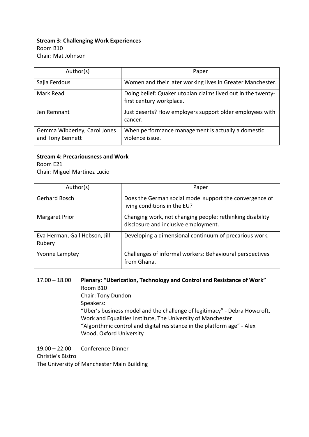### **Stream 3: Challenging Work Experiences** Room B10 Chair: Mat Johnson

| Author(s)                                        | Paper                                                                                    |
|--------------------------------------------------|------------------------------------------------------------------------------------------|
| Sajia Ferdous                                    | Women and their later working lives in Greater Manchester.                               |
| Mark Read                                        | Doing belief: Quaker utopian claims lived out in the twenty-<br>first century workplace. |
| Jen Remnant                                      | Just deserts? How employers support older employees with<br>cancer.                      |
| Gemma Wibberley, Carol Jones<br>and Tony Bennett | When performance management is actually a domestic<br>violence issue.                    |

### **Stream 4: Precariousness and Work**

Room E21

Chair: Miguel Martinez Lucio

| Author(s)                               | Paper                                                                                             |
|-----------------------------------------|---------------------------------------------------------------------------------------------------|
| Gerhard Bosch                           | Does the German social model support the convergence of<br>living conditions in the EU?           |
| <b>Margaret Prior</b>                   | Changing work, not changing people: rethinking disability<br>disclosure and inclusive employment. |
| Eva Herman, Gail Hebson, Jill<br>Rubery | Developing a dimensional continuum of precarious work.                                            |
| <b>Yvonne Lamptey</b>                   | Challenges of informal workers: Behavioural perspectives<br>from Ghana.                           |

### 17.00 – 18.00 **Plenary: "Uberization, Technology and Control and Resistance of Work"** Room B10

Chair: Tony Dundon Speakers: "Uber's business model and the challenge of legitimacy" - Debra Howcroft, Work and Equalities Institute, The University of Manchester "Algorithmic control and digital resistance in the platform age" - Alex Wood, Oxford University

19.00 – 22.00 Conference Dinner Christie's Bistro The University of Manchester Main Building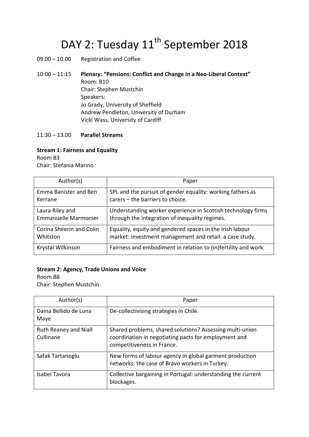### DAY 2: Tuesday 11<sup>th</sup> September 2018

09.00 – 10.00 Registration and Coffee

10:00 – 11:15 **Plenary: "Pensions: Conflict and Change in a Neo-Liberal Context"** Room: B10 Chair: Stephen Mustchin Speakers: Jo Grady, University of Sheffield Andrew Pendleton, University of Durham Vicki Wass, University of Cardiff

### 11:30 – 13.00 **Parallel Streams**

### **Stream 1: Fairness and Equality**

Room B3 Chair: Stefania Marino

| Author(s)                   | Paper                                                          |
|-----------------------------|----------------------------------------------------------------|
| Emma Banister and Ben       | SPL and the pursuit of gender equality: working fathers as     |
| Kerrane                     | carers - the barriers to choice.                               |
| Laura Riley and             | Understanding worker experience in Scottish technology firms   |
| <b>Emmanuelle Marmonier</b> | through the integration of inequality regimes.                 |
| Corina Sheerin and Colin    | Equality, equity and gendered spaces in the Irish labour       |
| Whitston                    | market: investment management and retail: a case study.        |
| Krystal Wilkinson           | Fairness and embodiment in relation to (in)fertility and work. |

### **Stream 2: Agency, Trade Unions and Voice**

Room B8 Chair: Stephen Mustchin

| Author(s)                          | Paper                                                                                                                                          |
|------------------------------------|------------------------------------------------------------------------------------------------------------------------------------------------|
| Daina Bellido de Luna<br>Maye      | De-collectivising strategies in Chile.                                                                                                         |
| Ruth Reaney and Niall<br>Cullinane | Shared problems, shared solutions? Assessing multi-union<br>coordination in negotiating pacts for employment and<br>competitiveness in France. |
| Safak Tartanoglu                   | New forms of labour agency in global garment production<br>networks: the case of Bravo workers in Turkey.                                      |
| Isabel Tavora                      | Collective bargaining in Portugal: understanding the current<br>blockages.                                                                     |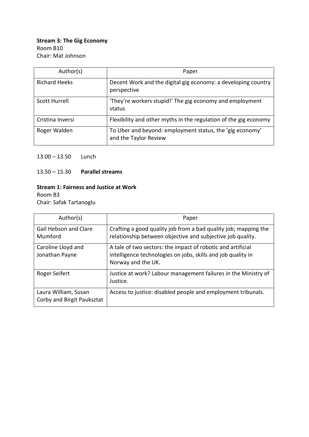### **Stream 3: The Gig Economy** Room B10 Chair: Mat Johnson

| Author(s)            | Paper                                                                             |
|----------------------|-----------------------------------------------------------------------------------|
| <b>Richard Heeks</b> | Decent Work and the digital gig economy: a developing country<br>perspective      |
| Scott Hurrell        | 'They're workers stupid!' The gig economy and employment<br>status                |
| Cristina Inversi     | Flexibility and other myths in the regulation of the gig economy                  |
| Roger Walden         | To Uber and beyond: employment status, the 'gig economy'<br>and the Taylor Review |

### 13.00 – 13.50 Lunch

13.50 – 15.30 **Parallel streams**

### **Stream 1: Fairness and Justice at Work**

Room B3 Chair: Safak Tartanoglu

| Author(s)                                          | Paper                                                                                                                                             |
|----------------------------------------------------|---------------------------------------------------------------------------------------------------------------------------------------------------|
| <b>Gail Hebson and Clare</b><br>Mumford            | Crafting a good quality job from a bad quality job; mapping the<br>relationship between objective and subjective job quality.                     |
| Caroline Lloyd and<br>Jonathan Payne               | A tale of two sectors: the impact of robotic and artificial<br>intelligence technologies on jobs, skills and job quality in<br>Norway and the UK. |
| Roger Seifert                                      | Justice at work? Labour management failures in the Ministry of<br>Justice.                                                                        |
| Laura William, Susan<br>Corby and Birgit Pauksztat | Access to justice: disabled people and employment tribunals.                                                                                      |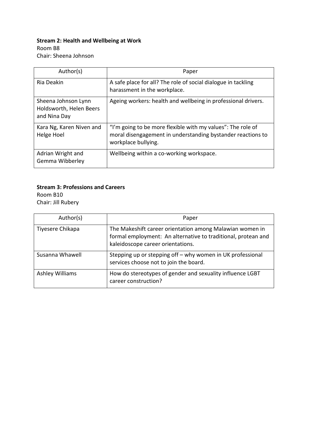### **Stream 2: Health and Wellbeing at Work**

Room B8

Chair: Sheena Johnson

| Author(s)                                                      | Paper                                                                                                                                             |
|----------------------------------------------------------------|---------------------------------------------------------------------------------------------------------------------------------------------------|
| Ria Deakin                                                     | A safe place for all? The role of social dialogue in tackling<br>harassment in the workplace.                                                     |
| Sheena Johnson Lynn<br>Holdsworth, Helen Beers<br>and Nina Day | Ageing workers: health and wellbeing in professional drivers.                                                                                     |
| Kara Ng, Karen Niven and<br>Helge Hoel                         | "I'm going to be more flexible with my values": The role of<br>moral disengagement in understanding bystander reactions to<br>workplace bullying. |
| Adrian Wright and<br>Gemma Wibberley                           | Wellbeing within a co-working workspace.                                                                                                          |

### **Stream 3: Professions and Careers**

Room B10 Chair: Jill Rubery

| Author(s)        | Paper                                                                                                                                                          |
|------------------|----------------------------------------------------------------------------------------------------------------------------------------------------------------|
| Tiyesere Chikapa | The Makeshift career orientation among Malawian women in<br>formal employment: An alternative to traditional, protean and<br>kaleidoscope career orientations. |
| Susanna Whawell  | Stepping up or stepping off - why women in UK professional<br>services choose not to join the board.                                                           |
| Ashley Williams  | How do stereotypes of gender and sexuality influence LGBT<br>career construction?                                                                              |